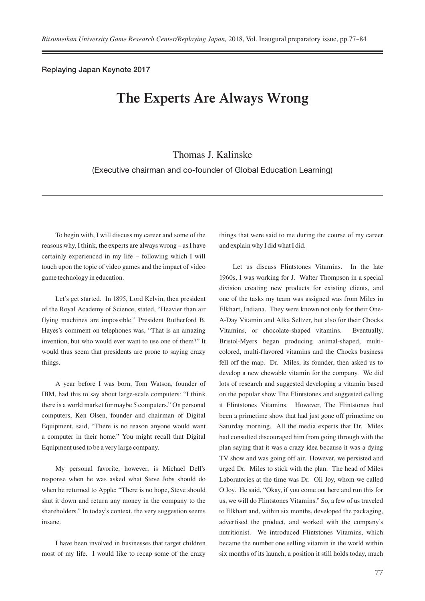Replaying Japan Keynote 2017

## **The Experts Are Always Wrong**

## Thomas J. Kalinske

(Executive chairman and co-founder of Global Education Learning)

To begin with, I will discuss my career and some of the reasons why, I think, the experts are always wrong – as I have certainly experienced in my life – following which I will touch upon the topic of video games and the impact of video game technology in education.

Let's get started. In 1895, Lord Kelvin, then president of the Royal Academy of Science, stated, "Heavier than air flying machines are impossible." President Rutherford B. Hayes's comment on telephones was, "That is an amazing invention, but who would ever want to use one of them?" It would thus seem that presidents are prone to saying crazy things.

A year before I was born, Tom Watson, founder of IBM, had this to say about large-scale computers: "I think there is a world market for maybe 5 computers." On personal computers, Ken Olsen, founder and chairman of Digital Equipment, said, "There is no reason anyone would want a computer in their home." You might recall that Digital Equipment used to be a very large company.

My personal favorite, however, is Michael Dell's response when he was asked what Steve Jobs should do when he returned to Apple: "There is no hope, Steve should shut it down and return any money in the company to the shareholders." In today's context, the very suggestion seems insane.

I have been involved in businesses that target children most of my life. I would like to recap some of the crazy

things that were said to me during the course of my career and explain why I did what I did.

Let us discuss Flintstones Vitamins. In the late 1960s, I was working for J. Walter Thompson in a special division creating new products for existing clients, and one of the tasks my team was assigned was from Miles in Elkhart, Indiana. They were known not only for their One-A-Day Vitamin and Alka Seltzer, but also for their Chocks Vitamins, or chocolate-shaped vitamins. Eventually, Bristol-Myers began producing animal-shaped, multicolored, multi-flavored vitamins and the Chocks business fell off the map. Dr. Miles, its founder, then asked us to develop a new chewable vitamin for the company. We did lots of research and suggested developing a vitamin based on the popular show The Flintstones and suggested calling it Flintstones Vitamins. However, The Flintstones had been a primetime show that had just gone off primetime on Saturday morning. All the media experts that Dr. Miles had consulted discouraged him from going through with the plan saying that it was a crazy idea because it was a dying TV show and was going off air. However, we persisted and urged Dr. Miles to stick with the plan. The head of Miles Laboratories at the time was Dr. Oli Joy, whom we called O Joy. He said, "Okay, if you come out here and run this for us, we will do Flintstones Vitamins." So, a few of us traveled to Elkhart and, within six months, developed the packaging, advertised the product, and worked with the company's nutritionist. We introduced Flintstones Vitamins, which became the number one selling vitamin in the world within six months of its launch, a position it still holds today, much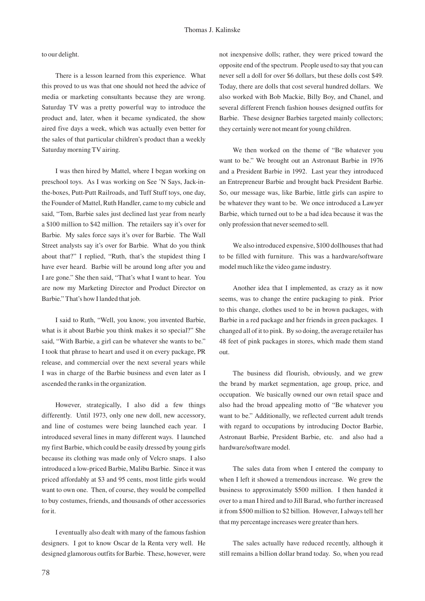to our delight.

There is a lesson learned from this experience. What this proved to us was that one should not heed the advice of media or marketing consultants because they are wrong. Saturday TV was a pretty powerful way to introduce the product and, later, when it became syndicated, the show aired five days a week, which was actually even better for the sales of that particular children's product than a weekly Saturday morning TV airing.

I was then hired by Mattel, where I began working on preschool toys. As I was working on See 'N Says, Jack-inthe-boxes, Putt-Putt Railroads, and Tuff Stuff toys, one day, the Founder of Mattel, Ruth Handler, came to my cubicle and said, "Tom, Barbie sales just declined last year from nearly a \$100 million to \$42 million. The retailers say it's over for Barbie. My sales force says it's over for Barbie. The Wall Street analysts say it's over for Barbie. What do you think about that?" I replied, "Ruth, that's the stupidest thing I have ever heard. Barbie will be around long after you and I are gone." She then said, "That's what I want to hear. You are now my Marketing Director and Product Director on Barbie." That's how I landed that job.

I said to Ruth, "Well, you know, you invented Barbie, what is it about Barbie you think makes it so special?" She said, "With Barbie, a girl can be whatever she wants to be." I took that phrase to heart and used it on every package, PR release, and commercial over the next several years while I was in charge of the Barbie business and even later as I ascended the ranks in the organization.

However, strategically, I also did a few things differently. Until 1973, only one new doll, new accessory, and line of costumes were being launched each year. I introduced several lines in many different ways. I launched my first Barbie, which could be easily dressed by young girls because its clothing was made only of Velcro snaps. I also introduced a low-priced Barbie, Malibu Barbie. Since it was priced affordably at \$3 and 95 cents, most little girls would want to own one. Then, of course, they would be compelled to buy costumes, friends, and thousands of other accessories for it.

I eventually also dealt with many of the famous fashion designers. I got to know Oscar de la Renta very well. He designed glamorous outfits for Barbie. These, however, were not inexpensive dolls; rather, they were priced toward the opposite end of the spectrum. People used to say that you can never sell a doll for over \$6 dollars, but these dolls cost \$49. Today, there are dolls that cost several hundred dollars. We also worked with Bob Mackie, Billy Boy, and Chanel, and several different French fashion houses designed outfits for Barbie. These designer Barbies targeted mainly collectors; they certainly were not meant for young children.

We then worked on the theme of "Be whatever you want to be." We brought out an Astronaut Barbie in 1976 and a President Barbie in 1992. Last year they introduced an Entrepreneur Barbie and brought back President Barbie. So, our message was, like Barbie, little girls can aspire to be whatever they want to be. We once introduced a Lawyer Barbie, which turned out to be a bad idea because it was the only profession that never seemed to sell.

We also introduced expensive, \$100 dollhouses that had to be filled with furniture. This was a hardware/software model much like the video game industry.

Another idea that I implemented, as crazy as it now seems, was to change the entire packaging to pink. Prior to this change, clothes used to be in brown packages, with Barbie in a red package and her friends in green packages. I changed all of it to pink. By so doing, the average retailer has 48 feet of pink packages in stores, which made them stand out.

The business did flourish, obviously, and we grew the brand by market segmentation, age group, price, and occupation. We basically owned our own retail space and also had the broad appealing motto of "Be whatever you want to be." Additionally, we reflected current adult trends with regard to occupations by introducing Doctor Barbie, Astronaut Barbie, President Barbie, etc. and also had a hardware/software model.

The sales data from when I entered the company to when I left it showed a tremendous increase. We grew the business to approximately \$500 million. I then handed it over to a man I hired and to Jill Barad, who further increased it from \$500 million to \$2 billion. However, I always tell her that my percentage increases were greater than hers.

The sales actually have reduced recently, although it still remains a billion dollar brand today. So, when you read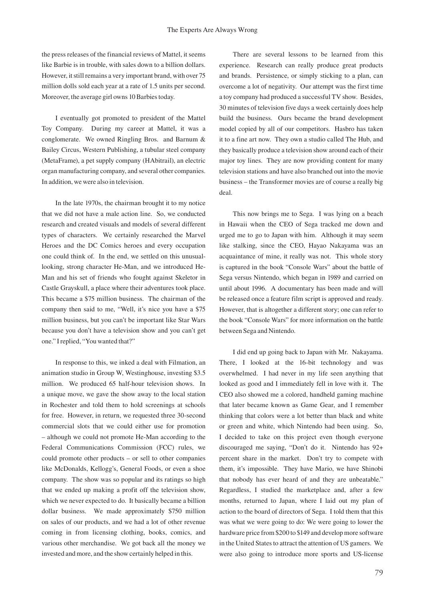the press releases of the financial reviews of Mattel, it seems like Barbie is in trouble, with sales down to a billion dollars. However, it still remains a very important brand, with over 75 million dolls sold each year at a rate of 1.5 units per second. Moreover, the average girl owns 10 Barbies today.

I eventually got promoted to president of the Mattel Toy Company. During my career at Mattel, it was a conglomerate. We owned Ringling Bros. and Barnum & Bailey Circus, Western Publishing, a tubular steel company (MetaFrame), a pet supply company (HAbitrail), an electric organ manufacturing company, and several other companies. In addition, we were also in television.

In the late 1970s, the chairman brought it to my notice that we did not have a male action line. So, we conducted research and created visuals and models of several different types of characters. We certainly researched the Marvel Heroes and the DC Comics heroes and every occupation one could think of. In the end, we settled on this unusuallooking, strong character He-Man, and we introduced He-Man and his set of friends who fought against Skeletor in Castle Grayskull, a place where their adventures took place. This became a \$75 million business. The chairman of the company then said to me, "Well, it's nice you have a \$75 million business, but you can't be important like Star Wars because you don't have a television show and you can't get one." I replied, "You wanted that?"

In response to this, we inked a deal with Filmation, an animation studio in Group W, Westinghouse, investing \$3.5 million. We produced 65 half-hour television shows. In a unique move, we gave the show away to the local station in Rochester and told them to hold screenings at schools for free. However, in return, we requested three 30-second commercial slots that we could either use for promotion – although we could not promote He-Man according to the Federal Communications Commission (FCC) rules, we could promote other products – or sell to other companies like McDonalds, Kellogg's, General Foods, or even a shoe company. The show was so popular and its ratings so high that we ended up making a profit off the television show, which we never expected to do. It basically became a billion dollar business. We made approximately \$750 million on sales of our products, and we had a lot of other revenue coming in from licensing clothing, books, comics, and various other merchandise. We got back all the money we invested and more, and the show certainly helped in this.

There are several lessons to be learned from this experience. Research can really produce great products and brands. Persistence, or simply sticking to a plan, can overcome a lot of negativity. Our attempt was the first time a toy company had produced a successful TV show. Besides, 30 minutes of television five days a week certainly does help build the business. Ours became the brand development model copied by all of our competitors. Hasbro has taken it to a fine art now. They own a studio called The Hub, and they basically produce a television show around each of their major toy lines. They are now providing content for many television stations and have also branched out into the movie business – the Transformer movies are of course a really big deal.

This now brings me to Sega. I was lying on a beach in Hawaii when the CEO of Sega tracked me down and urged me to go to Japan with him. Although it may seem like stalking, since the CEO, Hayao Nakayama was an acquaintance of mine, it really was not. This whole story is captured in the book "Console Wars" about the battle of Sega versus Nintendo, which began in 1989 and carried on until about 1996. A documentary has been made and will be released once a feature film script is approved and ready. However, that is altogether a different story; one can refer to the book "Console Wars" for more information on the battle between Sega and Nintendo.

I did end up going back to Japan with Mr. Nakayama. There, I looked at the 16-bit technology and was overwhelmed. I had never in my life seen anything that looked as good and I immediately fell in love with it. The CEO also showed me a colored, handheld gaming machine that later became known as Game Gear, and I remember thinking that colors were a lot better than black and white or green and white, which Nintendo had been using. So, I decided to take on this project even though everyone discouraged me saying, "Don't do it. Nintendo has 92+ percent share in the market. Don't try to compete with them, it's impossible. They have Mario, we have Shinobi that nobody has ever heard of and they are unbeatable." Regardless, I studied the marketplace and, after a few months, returned to Japan, where I laid out my plan of action to the board of directors of Sega. I told them that this was what we were going to do: We were going to lower the hardware price from \$200 to \$149 and develop more software in the United States to attract the attention of US gamers. We were also going to introduce more sports and US-license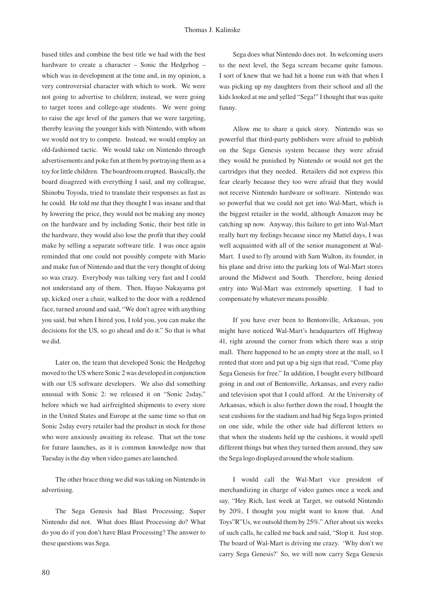based titles and combine the best title we had with the best hardware to create a character – Sonic the Hedgehog – which was in development at the time and, in my opinion, a very controversial character with which to work. We were not going to advertise to children; instead, we were going to target teens and college-age students. We were going to raise the age level of the gamers that we were targeting, thereby leaving the younger kids with Nintendo, with whom we would not try to compete. Instead, we would employ an old-fashioned tactic. We would take on Nintendo through advertisements and poke fun at them by portraying them as a toy for little children. The boardroom erupted. Basically, the board disagreed with everything I said, and my colleague, Shinobu Toyoda, tried to translate their responses as fast as he could. He told me that they thought I was insane and that by lowering the price, they would not be making any money on the hardware and by including Sonic, their best title in the hardware, they would also lose the profit that they could make by selling a separate software title. I was once again reminded that one could not possibly compete with Mario and make fun of Nintendo and that the very thought of doing so was crazy. Everybody was talking very fast and I could not understand any of them. Then, Hayao Nakayama got up, kicked over a chair, walked to the door with a reddened face, turned around and said, "We don't agree with anything you said, but when I hired you, I told you, you can make the decisions for the US, so go ahead and do it." So that is what we did.

Later on, the team that developed Sonic the Hedgehog moved to the US where Sonic 2 was developed in conjunction with our US software developers. We also did something unusual with Sonic 2: we released it on "Sonic 2sday," before which we had airfreighted shipments to every store in the United States and Europe at the same time so that on Sonic 2sday every retailer had the product in stock for those who were anxiously awaiting its release. That set the tone for future launches, as it is common knowledge now that Tuesday is the day when video games are launched.

The other brace thing we did was taking on Nintendo in advertising.

The Sega Genesis had Blast Processing; Super Nintendo did not. What does Blast Processing do? What do you do if you don't have Blast Processing? The answer to these questions was Sega.

Sega does what Nintendo does not. In welcoming users to the next level, the Sega scream became quite famous. I sort of knew that we had hit a home run with that when I was picking up my daughters from their school and all the kids looked at me and yelled "Sega!" I thought that was quite funny.

Allow me to share a quick story. Nintendo was so powerful that third-party publishers were afraid to publish on the Sega Genesis system because they were afraid they would be punished by Nintendo or would not get the cartridges that they needed. Retailers did not express this fear clearly because they too were afraid that they would not receive Nintendo hardware or software. Nintendo was so powerful that we could not get into Wal-Mart, which is the biggest retailer in the world, although Amazon may be catching up now. Anyway, this failure to get into Wal-Mart really hurt my feelings because since my Mattel days, I was well acquainted with all of the senior management at Wal-Mart. I used to fly around with Sam Walton, its founder, in his plane and drive into the parking lots of Wal-Mart stores around the Midwest and South. Therefore, being denied entry into Wal-Mart was extremely upsetting. I had to compensate by whatever means possible.

If you have ever been to Bentonville, Arkansas, you might have noticed Wal-Mart's headquarters off Highway 41, right around the corner from which there was a strip mall. There happened to be an empty store at the mall, so I rented that store and put up a big sign that read, "Come play Sega Genesis for free." In addition, I bought every billboard going in and out of Bentonville, Arkansas, and every radio and television spot that I could afford. At the University of Arkansas, which is also further down the road, I bought the seat cushions for the stadium and had big Sega logos printed on one side, while the other side had different letters so that when the students held up the cushions, it would spell different things but when they turned them around, they saw the Sega logo displayed around the whole stadium.

I would call the Wal-Mart vice president of merchandizing in charge of video games once a week and say, "Hey Rich, last week at Target, we outsold Nintendo by 20%, I thought you might want to know that. And Toys"R"Us, we outsold them by 25%." After about six weeks of such calls, he called me back and said, "Stop it. Just stop. The board of Wal-Mart is driving me crazy. 'Why don't we carry Sega Genesis?' So, we will now carry Sega Genesis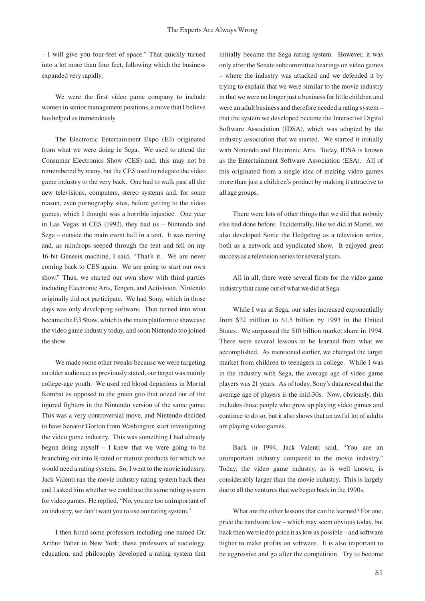– I will give you four-feet of space." That quickly turned into a lot more than four feet, following which the business expanded very rapidly.

We were the first video game company to include women in senior management positions, a move that I believe has helped us tremendously.

The Electronic Entertainment Expo (E3) originated from what we were doing in Sega. We used to attend the Consumer Electronics Show (CES) and, this may not be remembered by many, but the CES used to relegate the video game industry to the very back. One had to walk past all the new televisions, computers, stereo systems and, for some reason, even pornography sites, before getting to the video games, which I thought was a horrible injustice. One year in Las Vegas at CES (1992), they had us – Nintendo and Sega – outside the main event hall in a tent. It was raining and, as raindrops seeped through the tent and fell on my 16-bit Genesis machine, I said, "That's it. We are never coming back to CES again. We are going to start our own show." Thus, we started our own show with third parties including Electronic Arts, Tengen, and Activision. Nintendo originally did not participate. We had Sony, which in those days was only developing software. That turned into what became the E3 Show, which is the main platform to showcase the video game industry today, and soon Nintendo too joined the show.

We made some other tweaks because we were targeting an older audience; as previously stated, our target was mainly college-age youth. We used red blood depictions in Mortal Kombat as opposed to the green goo that oozed out of the injured fighters in the Nintendo version of the same game. This was a very controversial move, and Nintendo decided to have Senator Gorton from Washington start investigating the video game industry. This was something I had already begun doing myself – I knew that we were going to be branching out into R-rated or mature products for which we would need a rating system. So, I went to the movie industry. Jack Valenti ran the movie industry rating system back then and I asked him whether we could use the same rating system for video games. He replied, "No, you are too unimportant of an industry, we don't want you to use our rating system."

I then hired some professors including one named Dr. Arthur Pober in New York; these professors of sociology, education, and philosophy developed a rating system that initially became the Sega rating system. However, it was only after the Senate subcommittee hearings on video games – where the industry was attacked and we defended it by trying to explain that we were similar to the movie industry in that we were no longer just a business for little children and were an adult business and therefore needed a rating system – that the system we developed became the Interactive Digital Software Association (IDSA), which was adopted by the industry association that we started. We started it initially with Nintendo and Electronic Arts. Today, IDSA is known as the Entertainment Software Association (ESA). All of this originated from a single idea of making video games more than just a children's product by making it attractive to all age groups.

There were lots of other things that we did that nobody else had done before. Incidentally, like we did at Mattel, we also developed Sonic the Hedgehog as a television series, both as a network and syndicated show. It enjoyed great success as a television series for several years.

All in all, there were several firsts for the video game industry that came out of what we did at Sega.

While I was at Sega, our sales increased exponentially from \$72 million to \$1.5 billion by 1993 in the United States. We surpassed the \$10 billion market share in 1994. There were several lessons to be learned from what we accomplished. As mentioned earlier, we changed the target market from children to teenagers in college. While I was in the industry with Sega, the average age of video game players was 21 years. As of today, Sony's data reveal that the average age of players is the mid-30s. Now, obviously, this includes those people who grew up playing video games and continue to do so, but it also shows that an awful lot of adults are playing video games.

Back in 1994, Jack Valenti said, "You are an unimportant industry compared to the movie industry." Today, the video game industry, as is well known, is considerably larger than the movie industry. This is largely due to all the ventures that we began back in the 1990s.

What are the other lessons that can be learned? For one, price the hardware low – which may seem obvious today, but back then we tried to price it as low as possible – and software higher to make profits on software. It is also important to be aggressive and go after the competition. Try to become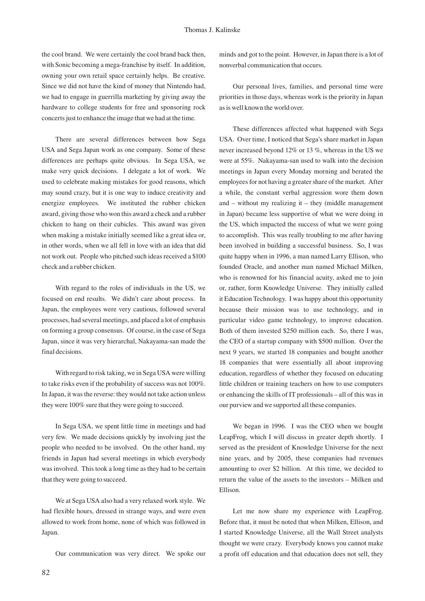the cool brand. We were certainly the cool brand back then, with Sonic becoming a mega-franchise by itself. In addition, owning your own retail space certainly helps. Be creative. Since we did not have the kind of money that Nintendo had, we had to engage in guerrilla marketing by giving away the hardware to college students for free and sponsoring rock concerts just to enhance the image that we had at the time.

There are several differences between how Sega USA and Sega Japan work as one company. Some of these differences are perhaps quite obvious. In Sega USA, we make very quick decisions. I delegate a lot of work. We used to celebrate making mistakes for good reasons, which may sound crazy, but it is one way to induce creativity and energize employees. We instituted the rubber chicken award, giving those who won this award a check and a rubber chicken to hang on their cubicles. This award was given when making a mistake initially seemed like a great idea or, in other words, when we all fell in love with an idea that did not work out. People who pitched such ideas received a \$100 check and a rubber chicken.

With regard to the roles of individuals in the US, we focused on end results. We didn't care about process. In Japan, the employees were very cautious, followed several processes, had several meetings, and placed a lot of emphasis on forming a group consensus. Of course, in the case of Sega Japan, since it was very hierarchal, Nakayama-san made the final decisions.

With regard to risk taking, we in Sega USA were willing to take risks even if the probability of success was not 100%. In Japan, it was the reverse: they would not take action unless they were 100% sure that they were going to succeed.

In Sega USA, we spent little time in meetings and had very few. We made decisions quickly by involving just the people who needed to be involved. On the other hand, my friends in Japan had several meetings in which everybody was involved. This took a long time as they had to be certain that they were going to succeed.

We at Sega USA also had a very relaxed work style. We had flexible hours, dressed in strange ways, and were even allowed to work from home, none of which was followed in Japan.

Our communication was very direct. We spoke our

minds and got to the point. However, in Japan there is a lot of nonverbal communication that occurs.

Our personal lives, families, and personal time were priorities in those days, whereas work is the priority in Japan as is well known the world over.

These differences affected what happened with Sega USA. Over time, I noticed that Sega's share market in Japan never increased beyond 12% or 13 %, whereas in the US we were at 55%. Nakayama-san used to walk into the decision meetings in Japan every Monday morning and berated the employees for not having a greater share of the market. After a while, the constant verbal aggression wore them down and – without my realizing it – they (middle management in Japan) became less supportive of what we were doing in the US, which impacted the success of what we were going to accomplish. This was really troubling to me after having been involved in building a successful business. So, I was quite happy when in 1996, a man named Larry Ellison, who founded Oracle, and another man named Michael Milken, who is renowned for his financial acuity, asked me to join or, rather, form Knowledge Universe. They initially called it Education Technology. I was happy about this opportunity because their mission was to use technology, and in particular video game technology, to improve education. Both of them invested \$250 million each. So, there I was, the CEO of a startup company with \$500 million. Over the next 9 years, we started 18 companies and bought another 18 companies that were essentially all about improving education, regardless of whether they focused on educating little children or training teachers on how to use computers or enhancing the skills of IT professionals – all of this was in our purview and we supported all these companies.

We began in 1996. I was the CEO when we bought LeapFrog, which I will discuss in greater depth shortly. I served as the president of Knowledge Universe for the next nine years, and by 2005, these companies had revenues amounting to over \$2 billion. At this time, we decided to return the value of the assets to the investors – Milken and Ellison.

Let me now share my experience with LeapFrog. Before that, it must be noted that when Milken, Ellison, and I started Knowledge Universe, all the Wall Street analysts thought we were crazy. Everybody knows you cannot make a profit off education and that education does not sell, they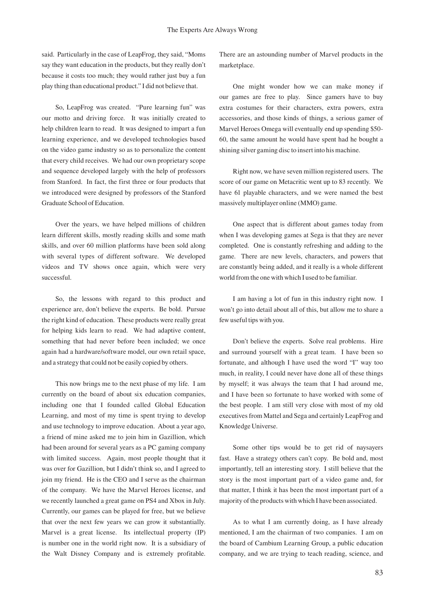said. Particularly in the case of LeapFrog, they said, "Moms say they want education in the products, but they really don't because it costs too much; they would rather just buy a fun play thing than educational product." I did not believe that.

So, LeapFrog was created. "Pure learning fun" was our motto and driving force. It was initially created to help children learn to read. It was designed to impart a fun learning experience, and we developed technologies based on the video game industry so as to personalize the content that every child receives. We had our own proprietary scope and sequence developed largely with the help of professors from Stanford. In fact, the first three or four products that we introduced were designed by professors of the Stanford Graduate School of Education.

Over the years, we have helped millions of children learn different skills, mostly reading skills and some math skills, and over 60 million platforms have been sold along with several types of different software. We developed videos and TV shows once again, which were very successful.

So, the lessons with regard to this product and experience are, don't believe the experts. Be bold. Pursue the right kind of education. These products were really great for helping kids learn to read. We had adaptive content, something that had never before been included; we once again had a hardware/software model, our own retail space, and a strategy that could not be easily copied by others.

This now brings me to the next phase of my life. I am currently on the board of about six education companies, including one that I founded called Global Education Learning, and most of my time is spent trying to develop and use technology to improve education. About a year ago, a friend of mine asked me to join him in Gazillion, which had been around for several years as a PC gaming company with limited success. Again, most people thought that it was over for Gazillion, but I didn't think so, and I agreed to join my friend. He is the CEO and I serve as the chairman of the company. We have the Marvel Heroes license, and we recently launched a great game on PS4 and Xbox in July. Currently, our games can be played for free, but we believe that over the next few years we can grow it substantially. Marvel is a great license. Its intellectual property (IP) is number one in the world right now. It is a subsidiary of the Walt Disney Company and is extremely profitable.

There are an astounding number of Marvel products in the marketplace.

One might wonder how we can make money if our games are free to play. Since gamers have to buy extra costumes for their characters, extra powers, extra accessories, and those kinds of things, a serious gamer of Marvel Heroes Omega will eventually end up spending \$50- 60, the same amount he would have spent had he bought a shining silver gaming disc to insert into his machine.

Right now, we have seven million registered users. The score of our game on Metacritic went up to 83 recently. We have 61 playable characters, and we were named the best massively multiplayer online (MMO) game.

One aspect that is different about games today from when I was developing games at Sega is that they are never completed. One is constantly refreshing and adding to the game. There are new levels, characters, and powers that are constantly being added, and it really is a whole different world from the one with which I used to be familiar.

I am having a lot of fun in this industry right now. I won't go into detail about all of this, but allow me to share a few useful tips with you.

Don't believe the experts. Solve real problems. Hire and surround yourself with a great team. I have been so fortunate, and although I have used the word "I" way too much, in reality, I could never have done all of these things by myself; it was always the team that I had around me, and I have been so fortunate to have worked with some of the best people. I am still very close with most of my old executives from Mattel and Sega and certainly LeapFrog and Knowledge Universe.

Some other tips would be to get rid of naysayers fast. Have a strategy others can't copy. Be bold and, most importantly, tell an interesting story. I still believe that the story is the most important part of a video game and, for that matter, I think it has been the most important part of a majority of the products with which I have been associated.

As to what I am currently doing, as I have already mentioned, I am the chairman of two companies. I am on the board of Cambium Learning Group, a public education company, and we are trying to teach reading, science, and